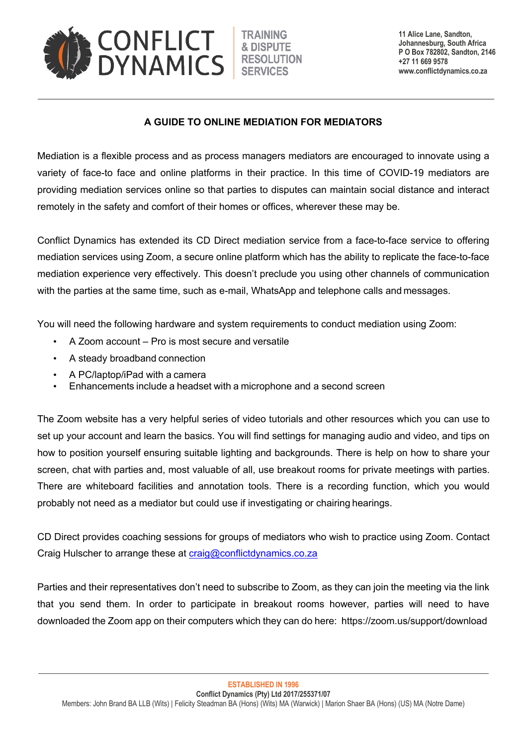

**11 Alice Lane, Sandton, Johannesburg, South Africa P O Box 782802, Sandton, 2146 +27 11 669 9578 www.conflictdynamics.co.za**

## **A GUIDE TO ONLINE MEDIATION FOR MEDIATORS**

Mediation is a flexible process and as process managers mediators are encouraged to innovate using a variety of face-to face and online platforms in their practice. In this time of COVID-19 mediators are providing mediation services online so that parties to disputes can maintain social distance and interact remotely in the safety and comfort of their homes or offices, wherever these may be.

Conflict Dynamics has extended its CD Direct mediation service from a face-to-face service to offering mediation services using Zoom, a secure online platform which has the ability to replicate the face-to-face mediation experience very effectively. This doesn't preclude you using other channels of communication with the parties at the same time, such as e-mail, WhatsApp and telephone calls and messages.

You will need the following hardware and system requirements to conduct mediation using Zoom:

- A Zoom account Pro is most secure and versatile
- A steady broadband connection
- A PC/laptop/iPad with a camera
- Enhancements include a headset with a microphone and a second screen

The Zoom website has a very helpful series of video tutorials and other resources which you can use to set up your account and learn the basics. You will find settings for managing audio and video, and tips on how to position yourself ensuring suitable lighting and backgrounds. There is help on how to share your screen, chat with parties and, most valuable of all, use breakout rooms for private meetings with parties. There are whiteboard facilities and annotation tools. There is a recording function, which you would probably not need as a mediator but could use if investigating or chairing hearings.

CD Direct provides coaching sessions for groups of mediators who wish to practice using Zoom. Contact Craig Hulscher to arrange these at craig@conflictdynamics.co.za

Parties and their representatives don't need to subscribe to Zoom, as they can join the meeting via the link that you send them. In order to participate in breakout rooms however, parties will need to have downloaded the Zoom app on their computers which they can do here: https://zoom.us/support/download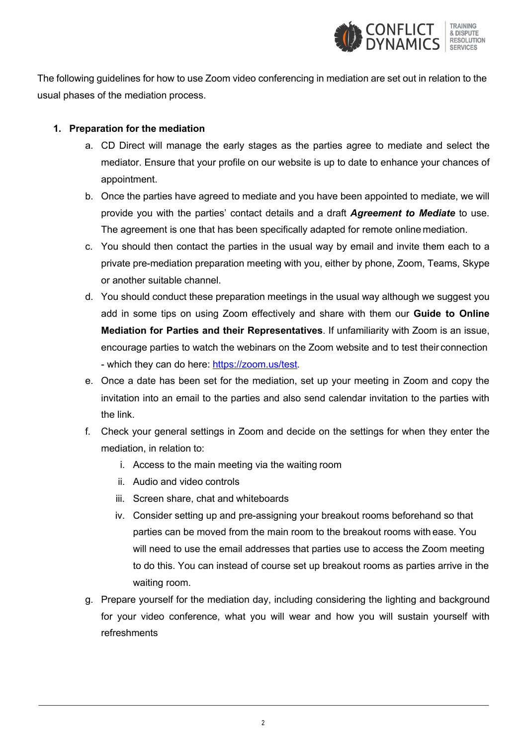

The following guidelines for how to use Zoom video conferencing in mediation are set out in relation to the usual phases of the mediation process.

## **1. Preparation for the mediation**

- a. CD Direct will manage the early stages as the parties agree to mediate and select the mediator. Ensure that your profile on our website is up to date to enhance your chances of appointment.
- b. Once the parties have agreed to mediate and you have been appointed to mediate, we will provide you with the parties' contact details and a draft *Agreement to Mediate* to use. The agreement is one that has been specifically adapted for remote online mediation.
- c. You should then contact the parties in the usual way by email and invite them each to a private pre-mediation preparation meeting with you, either by phone, Zoom, Teams, Skype or another suitable channel.
- d. You should conduct these preparation meetings in the usual way although we suggest you add in some tips on using Zoom effectively and share with them our **Guide to Online Mediation for Parties and their Representatives**. If unfamiliarity with Zoom is an issue, encourage parties to watch the webinars on the Zoom website and to test their connection - which they can do here: https://zoom.us/test.
- e. Once a date has been set for the mediation, set up your meeting in Zoom and copy the invitation into an email to the parties and also send calendar invitation to the parties with the link.
- f. Check your general settings in Zoom and decide on the settings for when they enter the mediation, in relation to:
	- i. Access to the main meeting via the waiting room
	- ii. Audio and video controls
	- iii. Screen share, chat and whiteboards
	- iv. Consider setting up and pre-assigning your breakout rooms beforehand so that parties can be moved from the main room to the breakout rooms with ease. You will need to use the email addresses that parties use to access the Zoom meeting to do this. You can instead of course set up breakout rooms as parties arrive in the waiting room.
- g. Prepare yourself for the mediation day, including considering the lighting and background for your video conference, what you will wear and how you will sustain yourself with refreshments